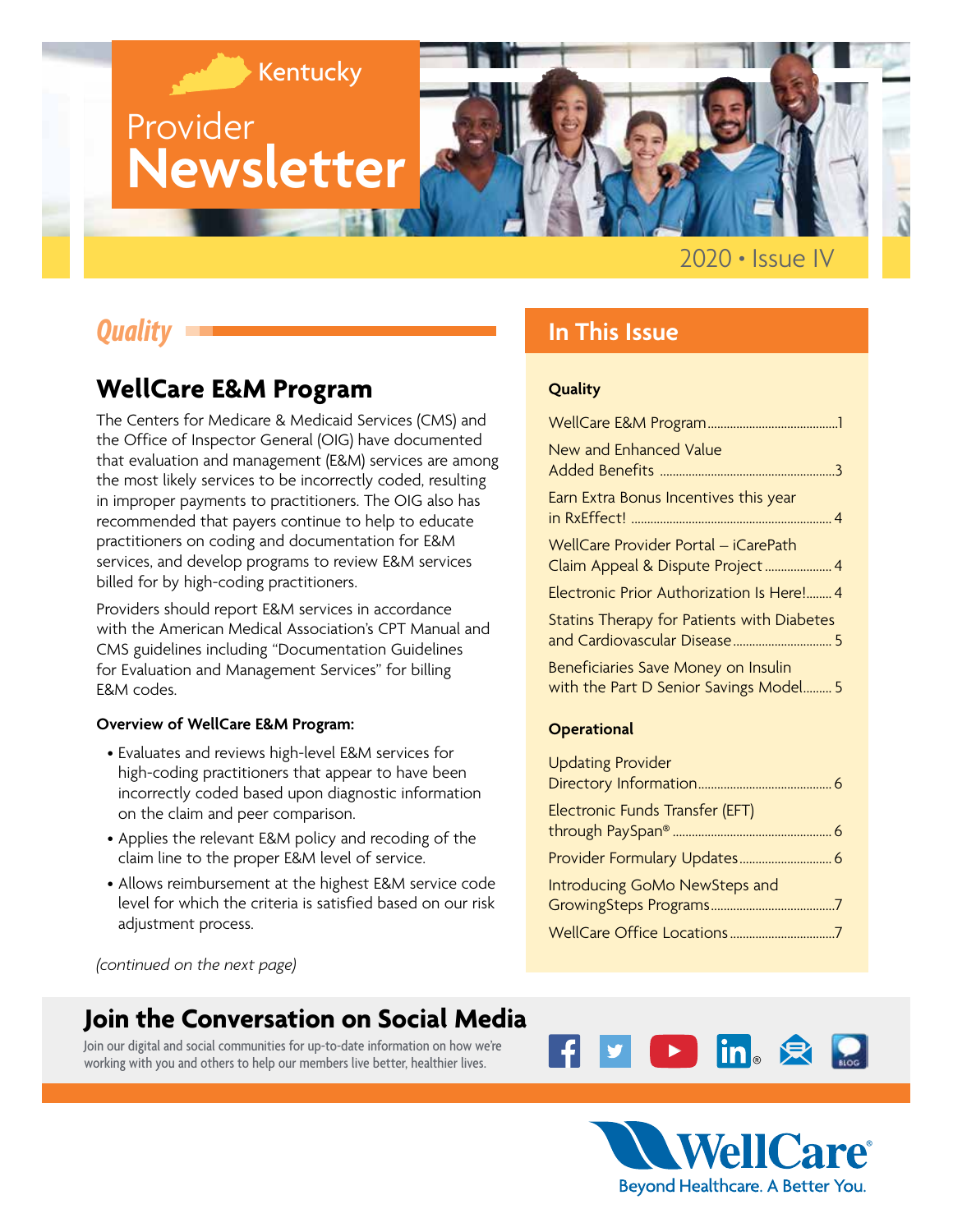

2020 **•** Issue IV

# *Quality*

# **WellCare E&M Program**

The Centers for Medicare & Medicaid Services (CMS) and the Office of Inspector General (OIG) have documented that evaluation and management (E&M) services are among the most likely services to be incorrectly coded, resulting in improper payments to practitioners. The OIG also has recommended that payers continue to help to educate practitioners on coding and documentation for E&M services, and develop programs to review E&M services billed for by high-coding practitioners.

Providers should report E&M services in accordance with the American Medical Association's CPT Manual and CMS guidelines including "Documentation Guidelines for Evaluation and Management Services" for billing E&M codes.

#### **Overview of WellCare E&M Program:**

- Evaluates and reviews high-level E&M services for high-coding practitioners that appear to have been incorrectly coded based upon diagnostic information on the claim and peer comparison.
- Applies the relevant E&M policy and recoding of the claim line to the proper E&M level of service.
- Allows reimbursement at the highest E&M service code level for which the criteria is satisfied based on our risk adjustment process.

*(continued on the next page)* 

# **Join the Conversation on Social Media**

Join our digital and social communities for up-to-date information on how we're working with you and others to help our members live better, healthier lives.

### **In This Issue**

#### **Quality**

| New and Enhanced Value                                                        |
|-------------------------------------------------------------------------------|
| Earn Extra Bonus Incentives this year                                         |
| WellCare Provider Portal - iCarePath<br>Claim Appeal & Dispute Project 4      |
| Electronic Prior Authorization Is Here! 4                                     |
| Statins Therapy for Patients with Diabetes                                    |
| Beneficiaries Save Money on Insulin<br>with the Part D Senior Savings Model 5 |

#### **[Operational](#page-5-0)**

| <b>Updating Provider</b>        |
|---------------------------------|
|                                 |
| Electronic Funds Transfer (EFT) |
|                                 |
|                                 |
| Introducing GoMo NewSteps and   |
|                                 |
|                                 |



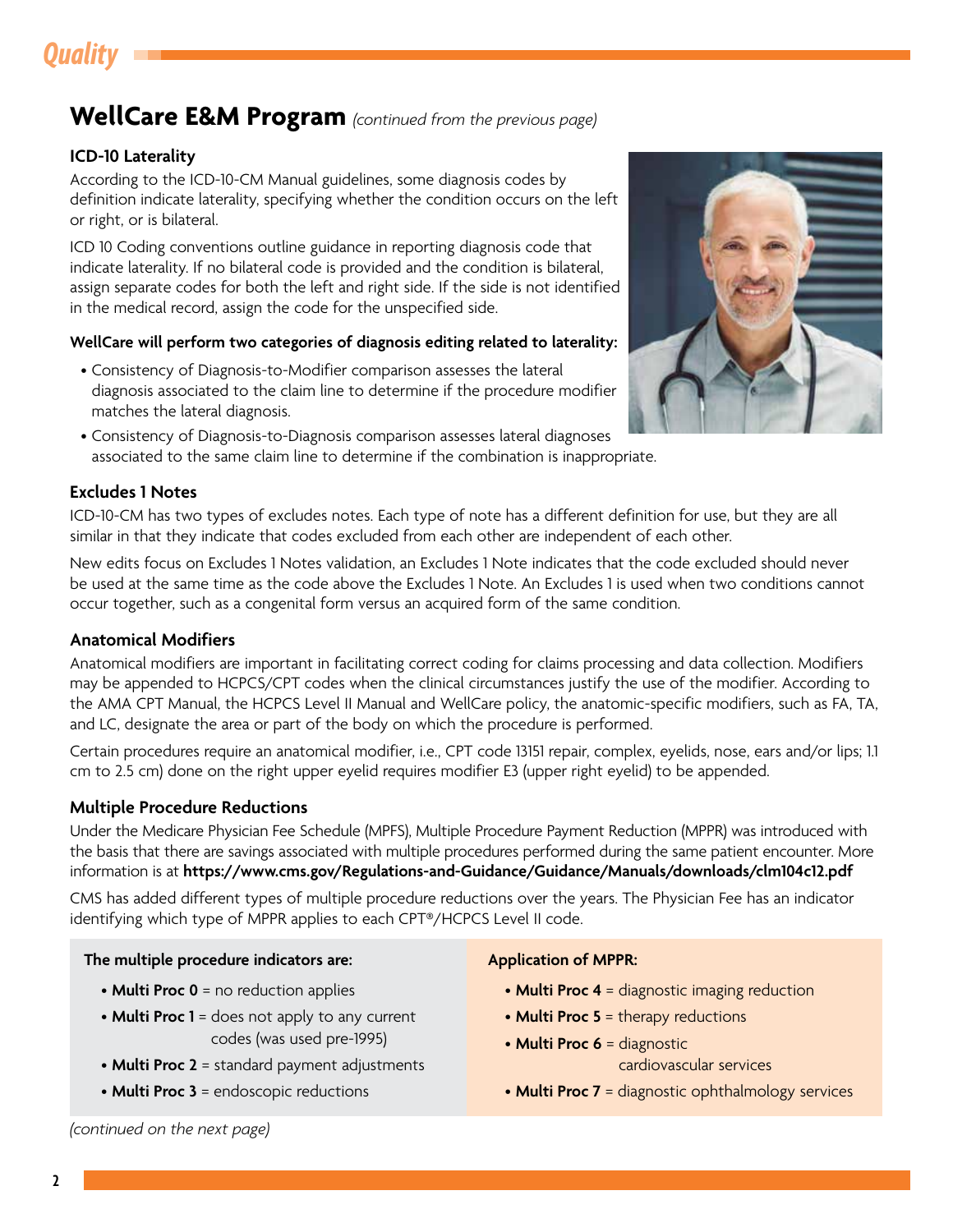# *Quality*

### **WellCare E&M Program** *(continued from the previous page)*

#### **ICD-10 Laterality**

According to the ICD-10-CM Manual guidelines, some diagnosis codes by definition indicate laterality, specifying whether the condition occurs on the left or right, or is bilateral.

ICD 10 Coding conventions outline guidance in reporting diagnosis code that indicate laterality. If no bilateral code is provided and the condition is bilateral, assign separate codes for both the left and right side. If the side is not identified in the medical record, assign the code for the unspecified side.

#### **WellCare will perform two categories of diagnosis editing related to laterality:**

- Consistency of Diagnosis-to-Modifier comparison assesses the lateral diagnosis associated to the claim line to determine if the procedure modifier matches the lateral diagnosis.
- Consistency of Diagnosis-to-Diagnosis comparison assesses lateral diagnoses associated to the same claim line to determine if the combination is inappropriate.

#### **Excludes 1 Notes**

ICD-10-CM has two types of excludes notes. Each type of note has a different definition for use, but they are all similar in that they indicate that codes excluded from each other are independent of each other.

New edits focus on Excludes 1 Notes validation, an Excludes 1 Note indicates that the code excluded should never be used at the same time as the code above the Excludes 1 Note. An Excludes 1 is used when two conditions cannot occur together, such as a congenital form versus an acquired form of the same condition.

#### **Anatomical Modifiers**

Anatomical modifiers are important in facilitating correct coding for claims processing and data collection. Modifiers may be appended to HCPCS/CPT codes when the clinical circumstances justify the use of the modifier. According to the AMA CPT Manual, the HCPCS Level II Manual and WellCare policy, the anatomic-specific modifiers, such as FA, TA, and LC, designate the area or part of the body on which the procedure is performed.

Certain procedures require an anatomical modifier, i.e., CPT code 13151 repair, complex, eyelids, nose, ears and/or lips; 1.1 cm to 2.5 cm) done on the right upper eyelid requires modifier E3 (upper right eyelid) to be appended.

#### **Multiple Procedure Reductions**

Under the Medicare Physician Fee Schedule (MPFS), Multiple Procedure Payment Reduction (MPPR) was introduced with the basis that there are savings associated with multiple procedures performed during the same patient encounter. More information is at **<https://www.cms.gov/Regulations-and-Guidance/Guidance/Manuals/downloads/clm104c12.pdf>**

CMS has added different types of multiple procedure reductions over the years. The Physician Fee has an indicator identifying which type of MPPR applies to each CPT®/HCPCS Level II code.

#### **The multiple procedure indicators are:**

- **Multi Proc 0** = no reduction applies
- **Multi Proc 1** = does not apply to any current codes (was used pre-1995)
- **Multi Proc 2** = standard payment adjustments
- **Multi Proc 3** = endoscopic reductions

#### **Application of MPPR:**

- **Multi Proc 4** = diagnostic imaging reduction
- **Multi Proc 5** = therapy reductions
- **Multi Proc 6** = diagnostic cardiovascular services
- **Multi Proc 7** = diagnostic ophthalmology services

*(continued on the next page)* 

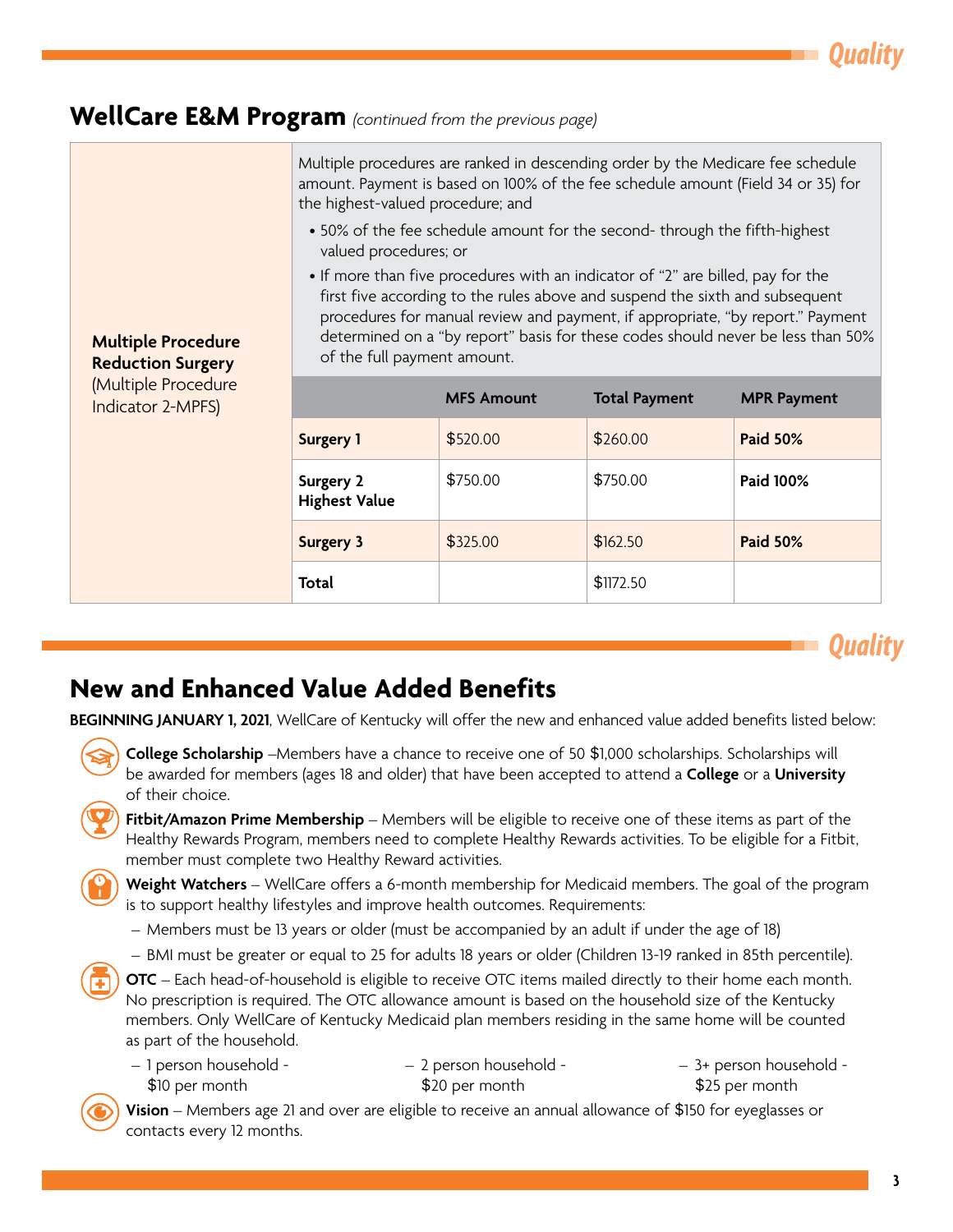*Quality*

### <span id="page-2-0"></span>**WellCare E&M Program** *(continued from the previous page)*

**Multiple Procedure Reduction Surgery**  (Multiple Procedure Indicator 2-MPFS) Multiple procedures are ranked in descending order by the Medicare fee schedule amount. Payment is based on 100% of the fee schedule amount (Field 34 or 35) for the highest-valued procedure; and • 50% of the fee schedule amount for the second- through the fifth-highest valued procedures; or • If more than five procedures with an indicator of "2" are billed, pay for the first five according to the rules above and suspend the sixth and subsequent procedures for manual review and payment, if appropriate, "by report." Payment determined on a "by report" basis for these codes should never be less than 50% of the full payment amount. **MFS Amount Total Payment MPR Payment Surgery 1**  $\frac{1}{2520.00}$   $\frac{1}{260.00}$  **Paid 50% Surgery 2 Highest Value**  \$750.00 \$750.00 **Paid 100% Surgery 3 \$325.00 \$162.50 Paid 50%** 



# **New and Enhanced Value Added Benefits**

**BEGINNING JANUARY 1, 2021**, WellCare of Kentucky will offer the new and enhanced value added benefits listed below:

**Total \$1172.50** 

 be awarded for members (ages 18 and older) that have been accepted to attend a **College** or a **University College Scholarship** –Members have a chance to receive one of 50 \$1,000 scholarships. Scholarships will of their choice.

**Fitbit/Amazon Prime Membership** – Members will be eligible to receive one of these items as part of the Healthy Rewards Program, members need to complete Healthy Rewards activities. To be eligible for a Fitbit, member must complete two Healthy Reward activities.

**Weight Watchers** – WellCare offers a 6-month membership for Medicaid members. The goal of the program is to support healthy lifestyles and improve health outcomes. Requirements:

- Members must be 13 years or older (must be accompanied by an adult if under the age of 18)
- BMI must be greater or equal to 25 for adults 18 years or older (Children 13-19 ranked in 85th percentile).

**OTC** – Each head-of-household is eligible to receive OTC items mailed directly to their home each month. No prescription is required. The OTC allowance amount is based on the household size of the Kentucky members. Only WellCare of Kentucky Medicaid plan members residing in the same home will be counted as part of the household.

| - 1 person household - | - 2 person household - | - 3+ person household - |
|------------------------|------------------------|-------------------------|
| \$10 per month         | \$20 per month         | \$25 per month          |

**Vision** – Members age 21 and over are eligible to receive an annual allowance of \$150 for eyeglasses or contacts every 12 months.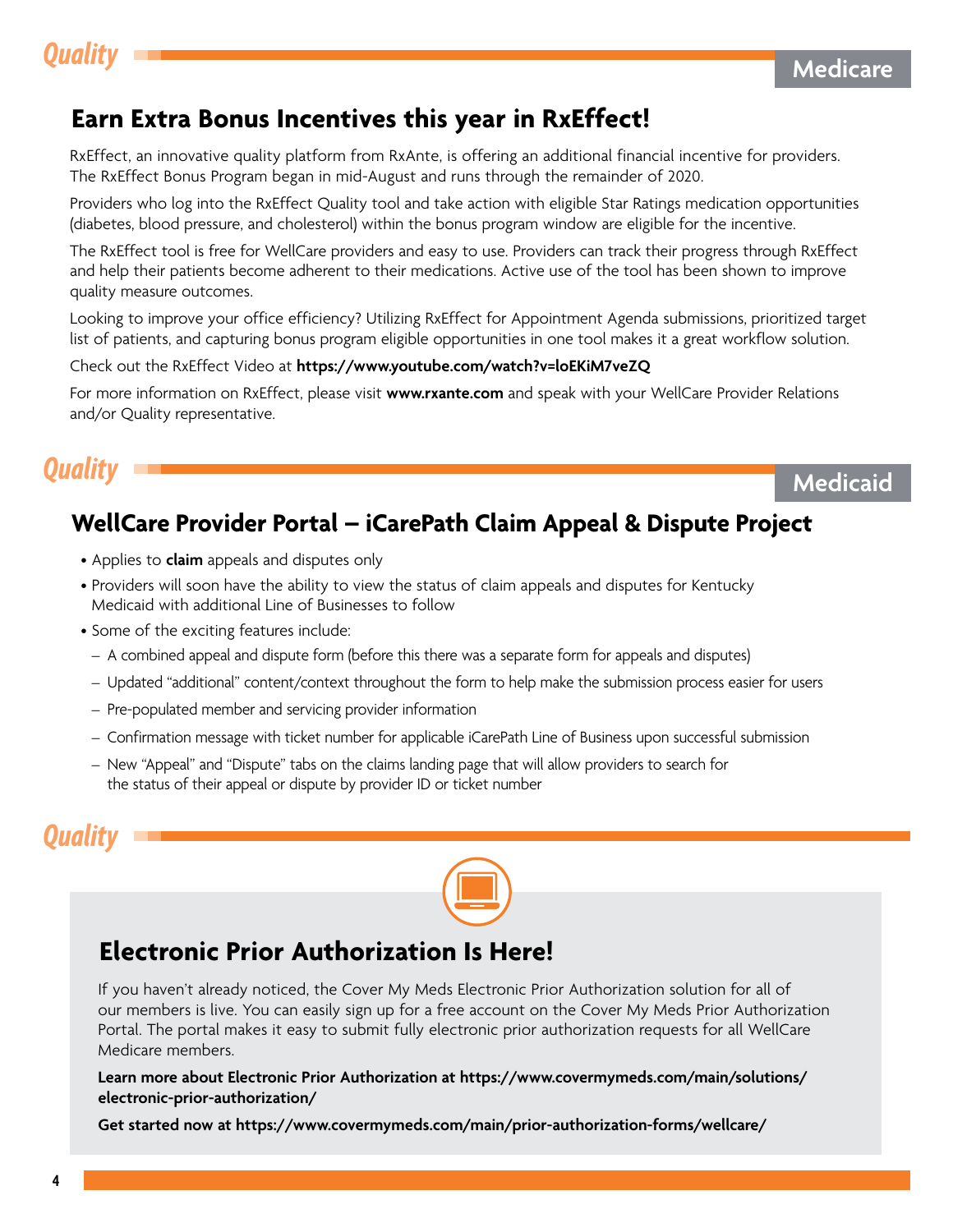## <span id="page-3-0"></span>**Earn Extra Bonus Incentives this year in RxEffect!**

RxEffect, an innovative quality platform from RxAnte, is offering an additional financial incentive for providers. The RxEffect Bonus Program began in mid-August and runs through the remainder of 2020.

Providers who log into the RxEffect Quality tool and take action with eligible Star Ratings medication opportunities (diabetes, blood pressure, and cholesterol) within the bonus program window are eligible for the incentive.

The RxEffect tool is free for WellCare providers and easy to use. Providers can track their progress through RxEffect and help their patients become adherent to their medications. Active use of the tool has been shown to improve quality measure outcomes.

Looking to improve your office efficiency? Utilizing RxEffect for Appointment Agenda submissions, prioritized target list of patients, and capturing bonus program eligible opportunities in one tool makes it a great workflow solution.

Check out the RxEffect Video at **<https://www.youtube.com/watch?v=loEKiM7veZQ>**

For more information on RxEffect, please visit **<www.rxante.com>** and speak with your WellCare Provider Relations and/or Quality representative.

# *Quality* Medicaid **Medicaid Medicaid Medicaid Medicaid**

# **WellCare Provider Portal – iCarePath Claim Appeal & Dispute Project**

- Applies to **claim** appeals and disputes only
- Providers will soon have the ability to view the status of claim appeals and disputes for Kentucky Medicaid with additional Line of Businesses to follow
- Some of the exciting features include:
	- A combined appeal and dispute form (before this there was a separate form for appeals and disputes)
	- Updated "additional" content/context throughout the form to help make the submission process easier for users
	- Pre-populated member and servicing provider information
	- Confirmation message with ticket number for applicable iCarePath Line of Business upon successful submission
- New "Appeal" and "Dispute" tabs on the claims landing page that will allow providers to search for the status of their appeal or dispute by provider ID or ticket number

# *Quality*



# **Electronic Prior Authorization Is Here!**

If you haven't already noticed, the Cover My Meds Electronic Prior Authorization solution for all of our members is live. You can easily sign up for a free account on the Cover My Meds Prior Authorization Portal. The portal makes it easy to submit fully electronic prior authorization requests for all WellCare Medicare members.

#### **Learn more about Electronic Prior Authorization at [https://www.covermymeds.com/main/solutions/](https://www.covermymeds.com/main/solutions/electronic-prior-authorization/)  [electronic-prior-authorization/](https://www.covermymeds.com/main/solutions/electronic-prior-authorization/)**

**Get started now at<https://www.covermymeds.com/main/prior-authorization-forms/wellcare/>**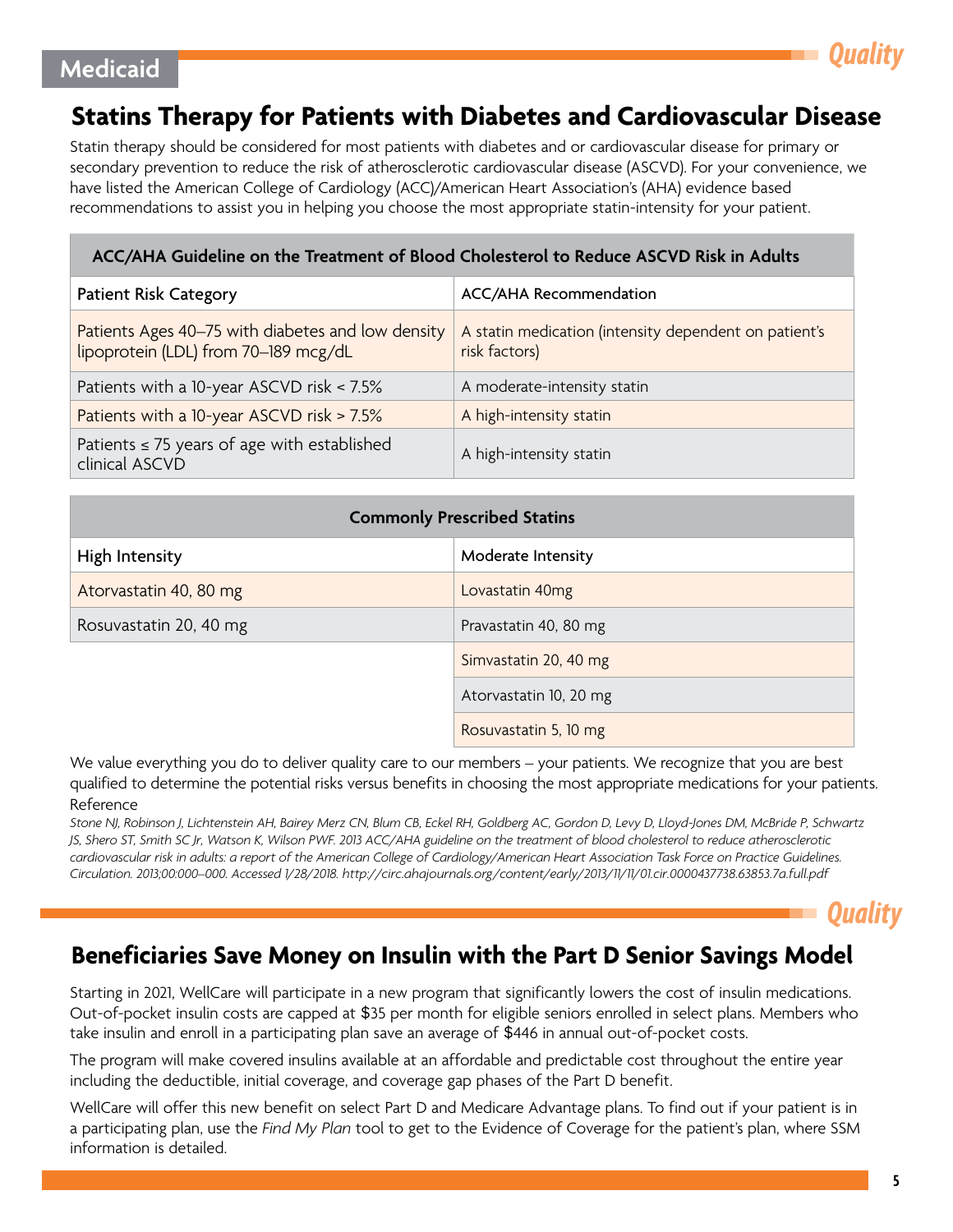# <span id="page-4-0"></span>**Medicaid** *Quality*

# **Statins Therapy for Patients with Diabetes and Cardiovascular Disease**

Statin therapy should be considered for most patients with diabetes and or cardiovascular disease for primary or secondary prevention to reduce the risk of atherosclerotic cardiovascular disease (ASCVD). For your convenience, we have listed the American College of Cardiology (ACC)/American Heart Association's (AHA) evidence based recommendations to assist you in helping you choose the most appropriate statin-intensity for your patient.

#### **ACC/AHA Guideline on the Treatment of Blood Cholesterol to Reduce ASCVD Risk in Adults**

| <b>Patient Risk Category</b>                                                              | ACC/AHA Recommendation                                                 |
|-------------------------------------------------------------------------------------------|------------------------------------------------------------------------|
| Patients Ages 40-75 with diabetes and low density<br>lipoprotein (LDL) from 70-189 mcg/dL | A statin medication (intensity dependent on patient's<br>risk factors) |
| Patients with a 10-year ASCVD risk < 7.5%                                                 | A moderate-intensity statin                                            |
| Patients with a 10-year ASCVD risk > 7.5%                                                 | A high-intensity statin                                                |
| Patients $\leq$ 75 years of age with established<br>clinical ASCVD                        | A high-intensity statin                                                |

| <b>Commonly Prescribed Statins</b> |                        |  |
|------------------------------------|------------------------|--|
| High Intensity                     | Moderate Intensity     |  |
| Atorvastatin 40, 80 mg             | Lovastatin 40mg        |  |
| Rosuvastatin 20, 40 mg             | Pravastatin 40, 80 mg  |  |
|                                    | Simvastatin 20, 40 mg  |  |
|                                    | Atorvastatin 10, 20 mg |  |
|                                    | Rosuvastatin 5, 10 mg  |  |

We value everything you do to deliver quality care to our members – your patients. We recognize that you are best qualified to determine the potential risks versus benefits in choosing the most appropriate medications for your patients. Reference

*Stone NJ, Robinson J, Lichtenstein AH, Bairey Merz CN, Blum CB, Eckel RH, Goldberg AC, Gordon D, Levy D, Lloyd-Jones DM, McBride P, Schwartz JS, Shero ST, Smith SC Jr, Watson K, Wilson PWF. 2013 ACC/AHA guideline on the treatment of blood cholesterol to reduce atherosclerotic cardiovascular risk in adults: a report of the American College of Cardiology/American Heart Association Task Force on Practice Guidelines. Circulation. 2013;00:000–000. Accessed 1/28/2018. http://circ.ahajournals.org/content/early/2013/11/11/01.cir.0000437738.63853.7a.full.pdf* 

*Quality*

### **Beneficiaries Save Money on Insulin with the Part D Senior Savings Model**

Starting in 2021, WellCare will participate in a new program that significantly lowers the cost of insulin medications. Out-of-pocket insulin costs are capped at \$35 per month for eligible seniors enrolled in select plans. Members who take insulin and enroll in a participating plan save an average of \$446 in annual out-of-pocket costs.

The program will make covered insulins available at an affordable and predictable cost throughout the entire year including the deductible, initial coverage, and coverage gap phases of the Part D benefit.

WellCare will offer this new benefit on select Part D and Medicare Advantage plans. To find out if your patient is in a participating plan, use the *Find My Plan* tool to get to the Evidence of Coverage for the patient's plan, where SSM information is detailed.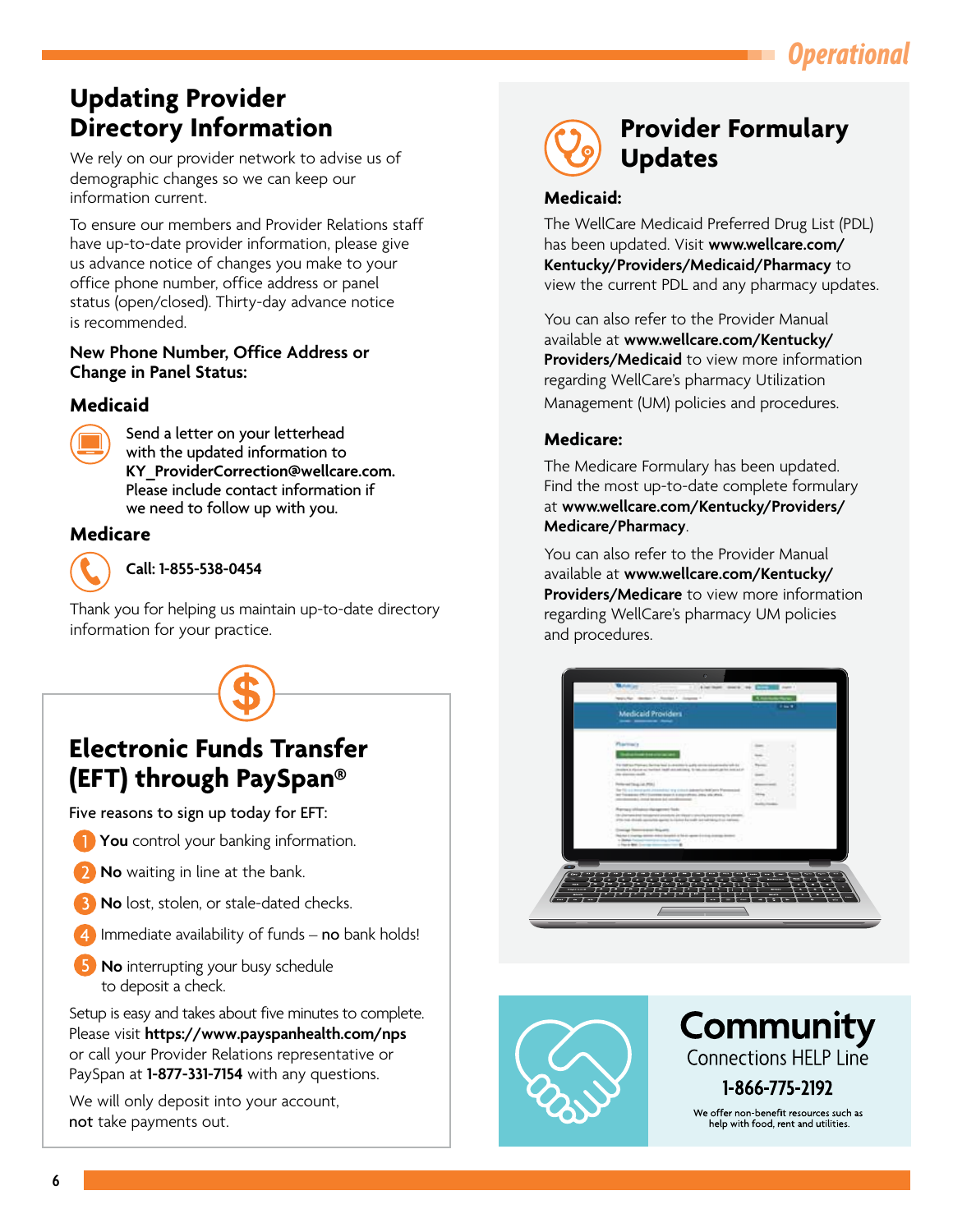# *Operational*

# <span id="page-5-0"></span>**Updating Provider Directory Information**

We rely on our provider network to advise us of demographic changes so we can keep our information current.

To ensure our members and Provider Relations staff have up-to-date provider information, please give us advance notice of changes you make to your office phone number, office address or panel status (open/closed). Thirty-day advance notice is recommended.

#### **New Phone Number, Office Address or Change in Panel Status:**

### **Medicaid**



Send a letter on your letterhead with the updated information to **[KY\\_ProviderCorrection@wellcare.com](mailto:KY_ProviderCorrection@wellcare.com).**  Please include contact information if we need to follow up with you.

### **Medicare**



**Call: 1-855-538-0454** 

Thank you for helping us maintain up-to-date directory information for your practice.



# **Electronic Funds Transfer (EFT) through PaySpan®**

Five reasons to sign up today for EFT:

- **You** control your banking information.
- **No** waiting in line at the bank.
- **No** lost, stolen, or stale-dated checks.
- Immediate availability of funds  $-$  no bank holds!
- **5** No interrupting your busy schedule to deposit a check.

Setup is easy and takes about five minutes to complete. Please visit **<https://www.payspanhealth.com/nps>** or call your Provider Relations representative or PaySpan at **1-877-331-7154** with any questions.

We will only deposit into your account, not take payments out.



# **Provider Formulary Updates**

#### **Medicaid:**

The WellCare Medicaid Preferred Drug List (PDL) has been updated. Visit **[www.wellcare.com/](www.wellcare.com/Kentucky/Providers/Medicaid/Pharmacy) [Kentucky/Providers/Medicaid/Pharmacy](www.wellcare.com/Kentucky/Providers/Medicaid/Pharmacy)** to view the current PDL and any pharmacy updates.

You can also refer to the Provider Manual available at **[www.wellcare.com/Kentucky/](www.wellcare.com/Kentucky/Providers/Medicaid)  [Providers/Medicaid](www.wellcare.com/Kentucky/Providers/Medicaid)** to view more information regarding WellCare's pharmacy Utilization Management (UM) policies and procedures.

### **Medicare:**

The Medicare Formulary has been updated. Find the most up-to-date complete formulary at **[www.wellcare.com/Kentucky/Providers/](www.wellcare.com/Kentucky/Providers/Medicare/Pharmacy)  [Medicare/Pharmacy](www.wellcare.com/Kentucky/Providers/Medicare/Pharmacy)**.

You can also refer to the Provider Manual available at **[www.wellcare.com/Kentucky/](www.wellcare.com/Kentucky/Providers/Medicare)  [Providers/Medicare](www.wellcare.com/Kentucky/Providers/Medicare)** to view more information regarding WellCare's pharmacy UM policies and procedures.